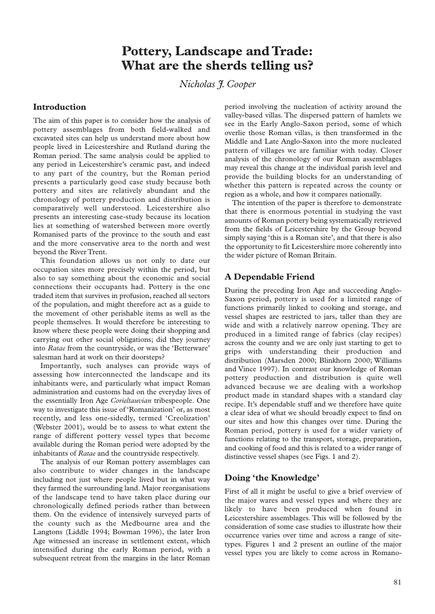# **Pottery, Landscape and Trade: What are the sherds telling us?**

*Nicholas J. Cooper*

### **Introduction**

The aim of this paper is to consider how the analysis of pottery assemblages from both field-walked and excavated sites can help us understand more about how people lived in Leicestershire and Rutland during the Roman period. The same analysis could be applied to any period in Leicestershire's ceramic past, and indeed to any part of the country, but the Roman period presents a particularly good case study because both pottery and sites are relatively abundant and the chronology of pottery production and distribution is comparatively well understood. Leicestershire also presents an interesting case-study because its location lies at something of watershed between more overtly Romanised parts of the province to the south and east and the more conservative area to the north and west beyond the River Trent.

This foundation allows us not only to date our occupation sites more precisely within the period, but also to say something about the economic and social connections their occupants had. Pottery is the one traded item that survives in profusion, reached all sectors of the population, and might therefore act as a guide to the movement of other perishable items as well as the people themselves. It would therefore be interesting to know where these people were doing their shopping and carrying out other social obligations; did they journey into *Ratae* from the countryside, or was the 'Betterware' salesman hard at work on their doorsteps?

Importantly, such analyses can provide ways of assessing how interconnected the landscape and its inhabitants were, and particularly what impact Roman administration and customs had on the everyday lives of the essentially Iron Age *Corieltauvian* tribespeople. One way to investigate this issue of 'Romanization' or, as most recently, and less one-sidedly, termed 'Creolization' (Webster 2001), would be to assess to what extent the range of different pottery vessel types that become available during the Roman period were adopted by the inhabitants of *Ratae* and the countryside respectively.

The analysis of our Roman pottery assemblages can also contribute to wider changes in the landscape including not just where people lived but in what way they farmed the surrounding land. Major reorganisations of the landscape tend to have taken place during our chronologically defined periods rather than between them. On the evidence of intensively surveyed parts of the county such as the Medbourne area and the Langtons (Liddle 1994; Bowman 1996), the later Iron Age witnessed an increase in settlement extent, which intensified during the early Roman period, with a subsequent retreat from the margins in the later Roman

period involving the nucleation of activity around the valley-based villas. The dispersed pattern of hamlets we see in the Early Anglo-Saxon period, some of which overlie those Roman villas, is then transformed in the Middle and Late Anglo-Saxon into the more nucleated pattern of villages we are familiar with today. Closer analysis of the chronology of our Roman assemblages may reveal this change at the individual parish level and provide the building blocks for an understanding of whether this pattern is repeated across the county or region as a whole, and how it compares nationally.

The intention of the paper is therefore to demonstrate that there is enormous potential in studying the vast amounts of Roman pottery being systematically retrieved from the fields of Leicestershire by the Group beyond simply saying 'this is a Roman site', and that there is also the opportunity to fit Leicestershire more coherently into the wider picture of Roman Britain.

# **A Dependable Friend**

During the preceding Iron Age and succeeding Anglo-Saxon period, pottery is used for a limited range of functions primarily linked to cooking and storage, and vessel shapes are restricted to jars, taller than they are wide and with a relatively narrow opening. They are produced in a limited range of fabrics (clay recipes) across the county and we are only just starting to get to grips with understanding their production and distribution (Marsden 2000; Blinkhorn 2000; Williams and Vince 1997). In contrast our knowledge of Roman pottery production and distribution is quite well advanced because we are dealing with a workshop product made in standard shapes with a standard clay recipe. It's dependable stuff and we therefore have quite a clear idea of what we should broadly expect to find on our sites and how this changes over time. During the Roman period, pottery is used for a wider variety of functions relating to the transport, storage, preparation, and cooking of food and this is related to a wider range of distinctive vessel shapes (see Figs. 1 and 2).

# **Doing 'the Knowledge'**

First of all it might be useful to give a brief overview of the major wares and vessel types and where they are likely to have been produced when found in Leicestershire assemblages. This will be followed by the consideration of some case studies to illustrate how their occurrence varies over time and across a range of sitetypes. Figures 1 and 2 present an outline of the major vessel types you are likely to come across in Romano-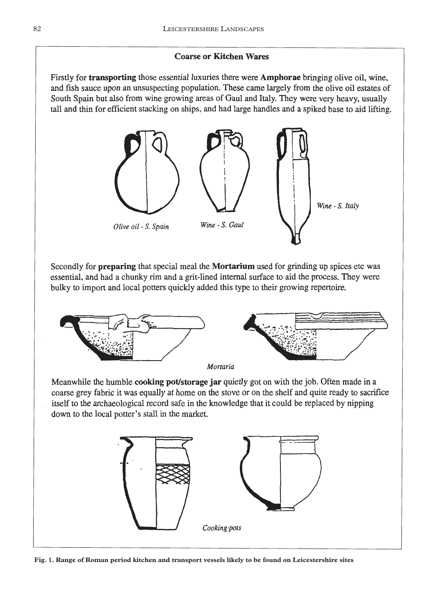# **Coarse or Kitchen Wares**

Firstly for **transporting** those essential luxuries there were **Amphorae** bringing olive oil, wine, and fish sauce upon an unsuspecting population. These came largely from the olive oil estates of South Spain but also from wine growing areas of Gaul and Italy. They were very heavy, usually tall and thin for efficient stacking on ships, and had large handles and a spiked base to aid lifting.



Secondly for preparing that special meal the Mortarium used for grinding up spices etc was essential, and had a chunky rim and a grit-lined internal surface to aid the process. They were bulky to import and local potters quickly added this type to their growing repertoire.



Meanwhile the humble cooking pot/storage jar quietly got on with the job. Often made in a coarse grey fabric it was equally at home on the stove or on the shelf and quite ready to sacrifice itself to the archaeological record safe in the knowledge that it could be replaced by nipping down to the local potter's stall in the market.



**Fig. 1. Range of Roman period kitchen and transport vessels likely to be found on Leicestershire sites**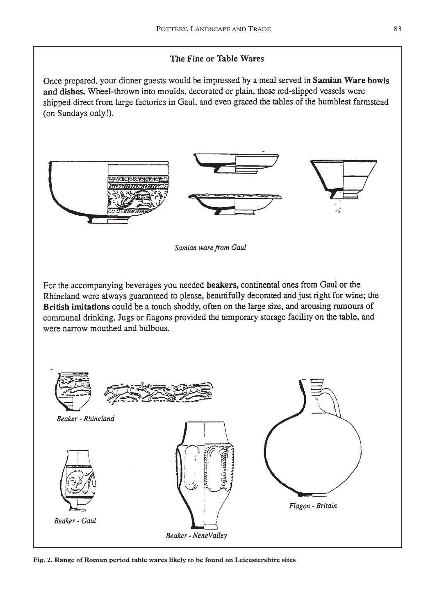# The Fine or Table Wares

Once prepared, your dinner guests would be impressed by a meal served in Samian Ware bowls and dishes. Wheel-thrown into moulds, decorated or plain, these red-slipped vessels were shipped direct from large factories in Gaul, and even graced the tables of the humblest farmstead (on Sundays only!).



**Fig. 2. Range of Roman period table wares likely to be found on Leicestershire sites**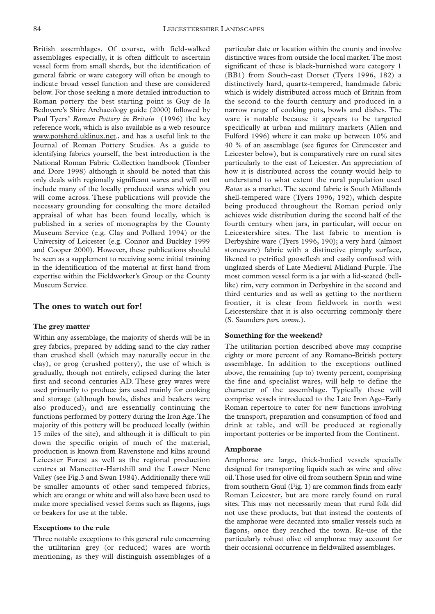British assemblages. Of course, with field-walked assemblages especially, it is often difficult to ascertain vessel form from small sherds, but the identification of general fabric or ware category will often be enough to indicate broad vessel function and these are considered below. For those seeking a more detailed introduction to Roman pottery the best starting point is Guy de la Bedoyere's Shire Archaeology guide (2000) followed by Paul Tyers' *Roman Pottery in Britain* (1996) the key reference work, which is also available as a web resource www.potsherd.uklinux.net., and has a useful link to the Journal of Roman Pottery Studies. As a guide to identifying fabrics yourself, the best introduction is the National Roman Fabric Collection handbook (Tomber and Dore 1998) although it should be noted that this only deals with regionally significant wares and will not include many of the locally produced wares which you will come across. These publications will provide the necessary grounding for consulting the more detailed appraisal of what has been found locally, which is published in a series of monographs by the County Museum Service (e.g. Clay and Pollard 1994) or the University of Leicester (e.g. Connor and Buckley 1999 and Cooper 2000). However, these publications should be seen as a supplement to receiving some initial training in the identification of the material at first hand from expertise within the Fieldworker's Group or the County Museum Service.

### **The ones to watch out for!**

#### **The grey matter**

Within any assemblage, the majority of sherds will be in grey fabrics, prepared by adding sand to the clay rather than crushed shell (which may naturally occur in the clay), or grog (crushed pottery), the use of which is gradually, though not entirely, eclipsed during the later first and second centuries AD. These grey wares were used primarily to produce jars used mainly for cooking and storage (although bowls, dishes and beakers were also produced), and are essentially continuing the functions performed by pottery during the Iron Age.The majority of this pottery will be produced locally (within 15 miles of the site), and although it is difficult to pin down the specific origin of much of the material, production is known from Ravenstone and kilns around Leicester Forest as well as the regional production centres at Mancetter-Hartshill and the Lower Nene Valley (see Fig.3 and Swan 1984). Additionally there will be smaller amounts of other sand tempered fabrics, which are orange or white and will also have been used to make more specialised vessel forms such as flagons, jugs or beakers for use at the table.

### **Exceptions to the rule**

Three notable exceptions to this general rule concerning the utilitarian grey (or reduced) wares are worth mentioning, as they will distinguish assemblages of a

particular date or location within the county and involve distinctive wares from outside the local market.The most significant of these is black-burnished ware category 1 (BB1) from South-east Dorset (Tyers 1996, 182) a distinctively hard, quartz-tempered, handmade fabric which is widely distributed across much of Britain from the second to the fourth century and produced in a narrow range of cooking pots, bowls and dishes. The ware is notable because it appears to be targeted specifically at urban and military markets (Allen and Fulford 1996) where it can make up between 10% and 40 % of an assemblage (see figures for Cirencester and Leicester below), but is comparatively rare on rural sites particularly to the east of Leicester. An appreciation of how it is distributed across the county would help to understand to what extent the rural population used *Ratae* as a market. The second fabric is South Midlands shell-tempered ware (Tyers 1996, 192), which despite being produced throughout the Roman period only achieves wide distribution during the second half of the fourth century when jars, in particular, will occur on Leicestershire sites. The last fabric to mention is Derbyshire ware (Tyers 1996, 190); a very hard (almost stoneware) fabric with a distinctive pimply surface, likened to petrified gooseflesh and easily confused with unglazed sherds of Late Medieval Midland Purple. The most common vessel form is a jar with a lid-seated (belllike) rim, very common in Derbyshire in the second and third centuries and as well as getting to the northern frontier, it is clear from fieldwork in north west Leicestershire that it is also occurring commonly there (S. Saunders *pers. comm.*).

### **Something for the weekend?**

The utilitarian portion described above may comprise eighty or more percent of any Romano-British pottery assemblage. In addition to the exceptions outlined above, the remaining (up to) twenty percent, comprising the fine and specialist wares, will help to define the character of the assemblage. Typically these will comprise vessels introduced to the Late Iron Age–Early Roman repertoire to cater for new functions involving the transport, preparation and consumption of food and drink at table, and will be produced at regionally important potteries or be imported from the Continent.

### **Amphorae**

Amphorae are large, thick-bodied vessels specially designed for transporting liquids such as wine and olive oil.Those used for olive oil from southern Spain and wine from southern Gaul (Fig. 1) are common finds from early Roman Leicester, but are more rarely found on rural sites. This may not necessarily mean that rural folk did not use these products, but that instead the contents of the amphorae were decanted into smaller vessels such as flagons, once they reached the town. Re-use of the particularly robust olive oil amphorae may account for their occasional occurrence in fieldwalked assemblages.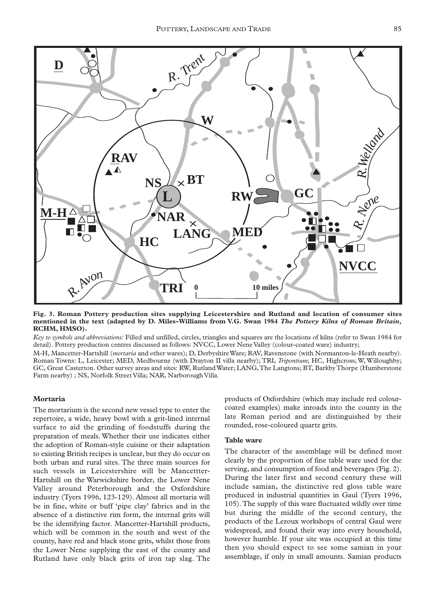

**Fig. 3. Roman Pottery production sites supplying Leicestershire and Rutland and location of consumer sites mentioned in the text (adapted by D. Miles-Williams from V.G. Swan 1984** *The Pottery Kilns of Roman Britain,* **RCHM, HMSO).**

*Key to symbols and abbreviations:* Filled and unfilled, circles, triangles and squares are the locations of kilns (refer to Swan 1984 for detail). Pottery production centres discussed as follows: NVCC, Lower Nene Valley (colour-coated ware) industry;

M-H, Mancetter-Hartshill (*mortaria* and other wares); D, Derbyshire Ware; RAV, Ravenstone (with Normanton-le-Heath nearby). Roman Towns: L, Leicester; MED, Medbourne (with Drayton II villa nearby); TRI, *Tripontium*; HC, Highcross; W, Willoughby; GC, Great Casterton. Other survey areas and sites: RW, Rutland Water; LANG,The Langtons; BT, Barkby Thorpe (Humberstone Farm nearby) ; NS, Norfolk Street Villa; NAR, Narborough Villa.

### **Mortaria**

The mortarium is the second new vessel type to enter the repertoire, a wide, heavy bowl with a grit-lined internal surface to aid the grinding of foodstuffs during the preparation of meals. Whether their use indicates either the adoption of Roman-style cuisine or their adaptation to existing British recipes is unclear, but they do occur on both urban and rural sites. The three main sources for such vessels in Leicestershire will be Mancettter-Hartshill on the Warwickshire border, the Lower Nene Valley around Peterborough and the Oxfordshire industry (Tyers 1996, 123-129). Almost all mortaria will be in fine, white or buff 'pipe clay' fabrics and in the absence of a distinctive rim form, the internal grits will be the identifying factor. Mancetter-Hartshill products, which will be common in the south and west of the county, have red and black stone grits, whilst those from the Lower Nene supplying the east of the county and Rutland have only black grits of iron tap slag. The

products of Oxfordshire (which may include red colourcoated examples) make inroads into the county in the late Roman period and are distinguished by their rounded, rose-coloured quartz grits.

### **Table ware**

The character of the assemblage will be defined most clearly by the proportion of fine table ware used for the serving, and consumption of food and beverages (Fig. 2). During the later first and second century these will include samian, the distinctive red gloss table ware produced in industrial quantities in Gaul (Tyers 1996, 105).The supply of this ware fluctuated wildly over time but during the middle of the second century, the products of the Lezoux workshops of central Gaul were widespread, and found their way into every household, however humble. If your site was occupied at this time then you should expect to see some samian in your assemblage, if only in small amounts. Samian products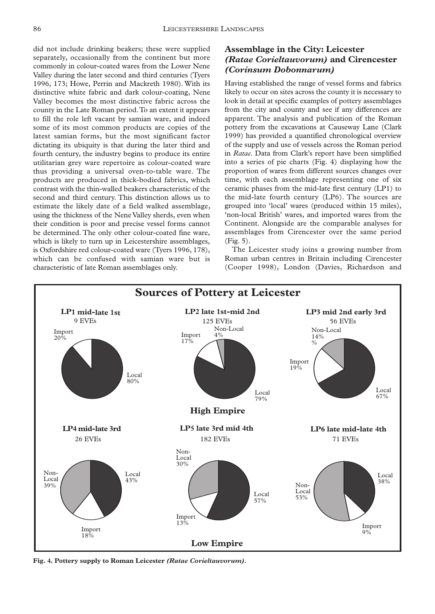did not include drinking beakers; these were supplied separately, occasionally from the continent but more commonly in colour-coated wares from the Lower Nene Valley during the later second and third centuries (Tyers 1996, 173; Howe, Perrin and Mackreth 1980). With its distinctive white fabric and dark colour-coating, Nene Valley becomes the most distinctive fabric across the county in the Late Roman period.To an extent it appears to fill the role left vacant by samian ware, and indeed some of its most common products are copies of the latest samian forms, but the most significant factor dictating its ubiquity is that during the later third and fourth century, the industry begins to produce its entire utilitarian grey ware repertoire as colour-coated ware thus providing a universal oven-to-table ware. The products are produced in thick-bodied fabrics, which contrast with the thin-walled beakers characteristic of the second and third century. This distinction allows us to estimate the likely date of a field walked assemblage, using the thickness of the Nene Valley sherds, even when their condition is poor and precise vessel forms cannot be determined. The only other colour-coated fine ware, which is likely to turn up in Leicestershire assemblages, is Oxfordshire red colour-coated ware (Tyers 1996, 178), which can be confused with samian ware but is characteristic of late Roman assemblages only.

# **Assemblage in the City: Leicester**  *(Ratae Corieltauvorum)* **and Cirencester** *(Corinsum Dobonnarum)*

Having established the range of vessel forms and fabrics likely to occur on sites across the county it is necessary to look in detail at specific examples of pottery assemblages from the city and county and see if any differences are apparent. The analysis and publication of the Roman pottery from the excavations at Causeway Lane (Clark 1999) has provided a quantified chronological overview of the supply and use of vessels across the Roman period in *Ratae*. Data from Clark's report have been simplified into a series of pie charts (Fig. 4) displaying how the proportion of wares from different sources changes over time, with each assemblage representing one of six ceramic phases from the mid-late first century (LP1) to the mid-late fourth century (LP6). The sources are grouped into 'local' wares (produced within 15 miles), 'non-local British' wares, and imported wares from the Continent. Alongside are the comparable analyses for assemblages from Cirencester over the same period (Fig. 5).

The Leicester study joins a growing number from Roman urban centres in Britain including Cirencester (Cooper 1998), London (Davies, Richardson and



**Fig. 4. Pottery supply to Roman Leicester** *(Ratae Corieltauvorum).*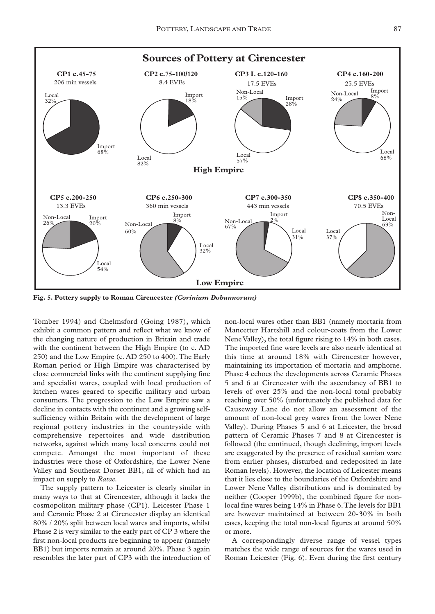

**Fig. 5. Pottery supply to Roman Cirencester** *(Corinium Dobunnorum)*

Tomber 1994) and Chelmsford (Going 1987), which exhibit a common pattern and reflect what we know of the changing nature of production in Britain and trade with the continent between the High Empire (to c. AD 250) and the Low Empire (c. AD 250 to 400).The Early Roman period or High Empire was characterised by close commercial links with the continent supplying fine and specialist wares, coupled with local production of kitchen wares geared to specific military and urban consumers. The progression to the Low Empire saw a decline in contacts with the continent and a growing selfsufficiency within Britain with the development of large regional pottery industries in the countryside with comprehensive repertoires and wide distribution networks, against which many local concerns could not compete. Amongst the most important of these industries were those of Oxfordshire, the Lower Nene Valley and Southeast Dorset BB1, all of which had an impact on supply to *Ratae*.

The supply pattern to Leicester is clearly similar in many ways to that at Cirencester, although it lacks the cosmopolitan military phase (CP1). Leicester Phase 1 and Ceramic Phase 2 at Cirencester display an identical 80% / 20% split between local wares and imports, whilst Phase 2 is very similar to the early part of CP 3 where the first non-local products are beginning to appear (namely BB1) but imports remain at around 20%. Phase 3 again resembles the later part of CP3 with the introduction of non-local wares other than BB1 (namely mortaria from Mancetter Hartshill and colour-coats from the Lower Nene Valley), the total figure rising to 14% in both cases. The imported fine ware levels are also nearly identical at this time at around 18% with Cirencester however, maintaining its importation of mortaria and amphorae. Phase 4 echoes the developments across Ceramic Phases 5 and 6 at Cirencester with the ascendancy of BB1 to levels of over 25% and the non-local total probably reaching over 50% (unfortunately the published data for Causeway Lane do not allow an assessment of the amount of non-local grey wares from the lower Nene Valley). During Phases 5 and 6 at Leicester, the broad pattern of Ceramic Phases 7 and 8 at Cirencester is followed (the continued, though declining, import levels are exaggerated by the presence of residual samian ware from earlier phases, disturbed and redeposited in late Roman levels). However, the location of Leicester means that it lies close to the boundaries of the Oxfordshire and Lower Nene Valley distributions and is dominated by neither (Cooper 1999b), the combined figure for nonlocal fine wares being 14% in Phase 6.The levels for BB1 are however maintained at between 20-30% in both cases, keeping the total non-local figures at around 50% or more.

A correspondingly diverse range of vessel types matches the wide range of sources for the wares used in Roman Leicester (Fig. 6). Even during the first century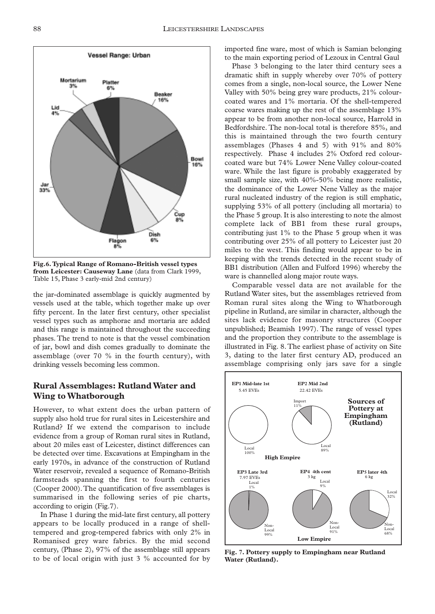

**Fig.6.Typical Range of Romano-British vessel types from Leicester: Causeway Lane** (data from Clark 1999, Table 15, Phase 3 early-mid 2nd century)

the jar-dominated assemblage is quickly augmented by vessels used at the table, which together make up over fifty percent. In the later first century, other specialist vessel types such as amphorae and mortaria are added and this range is maintained throughout the succeeding phases. The trend to note is that the vessel combination of jar, bowl and dish comes gradually to dominate the assemblage (over  $70\%$  in the fourth century), with drinking vessels becoming less common.

# **Rural Assemblages: Rutland Water and Wing to Whatborough**

However, to what extent does the urban pattern of supply also hold true for rural sites in Leicestershire and Rutland? If we extend the comparison to include evidence from a group of Roman rural sites in Rutland, about 20 miles east of Leicester, distinct differences can be detected over time. Excavations at Empingham in the early 1970s, in advance of the construction of Rutland Water reservoir, revealed a sequence of Romano-British farmsteads spanning the first to fourth centuries (Cooper 2000).The quantification of five assemblages is summarised in the following series of pie charts, according to origin (Fig.7).

In Phase 1 during the mid-late first century, all pottery appears to be locally produced in a range of shelltempered and grog-tempered fabrics with only 2% in Romanised grey ware fabrics. By the mid second century, (Phase 2), 97% of the assemblage still appears to be of local origin with just 3 % accounted for by

imported fine ware, most of which is Samian belonging to the main exporting period of Lezoux in Central Gaul

Phase 3 belonging to the later third century sees a dramatic shift in supply whereby over 70% of pottery comes from a single, non-local source, the Lower Nene Valley with 50% being grey ware products, 21% colourcoated wares and 1% mortaria. Of the shell-tempered coarse wares making up the rest of the assemblage 13% appear to be from another non-local source, Harrold in Bedfordshire. The non-local total is therefore 85%, and this is maintained through the two fourth century assemblages (Phases 4 and 5) with 91% and 80% respectively. Phase 4 includes 2% Oxford red colourcoated ware but 74% Lower Nene Valley colour-coated ware. While the last figure is probably exaggerated by small sample size, with 40%-50% being more realistic, the dominance of the Lower Nene Valley as the major rural nucleated industry of the region is still emphatic, supplying 53% of all pottery (including all mortaria) to the Phase 5 group. It is also interesting to note the almost complete lack of BB1 from these rural groups, contributing just 1% to the Phase 5 group when it was contributing over 25% of all pottery to Leicester just 20 miles to the west. This finding would appear to be in keeping with the trends detected in the recent study of BB1 distribution (Allen and Fulford 1996) whereby the ware is channelled along major route ways.

Comparable vessel data are not available for the Rutland Water sites, but the assemblages retrieved from Roman rural sites along the Wing to Whatborough pipeline in Rutland, are similar in character, although the sites lack evidence for masonry structures (Cooper unpublished; Beamish 1997). The range of vessel types and the proportion they contribute to the assemblage is illustrated in Fig. 8.The earliest phase of activity on Site 3, dating to the later first century AD, produced an assemblage comprising only jars save for a single ing with the trends detect<br>distribution (Allen and Fu<br>is channelled along major<br>omparable vessel data and Water sites, but the as<br>aan rural sites along the<br>line in Rutland, are similar<br>lack evidence for maso<br>ublished; Beam



**Fig. 7. Pottery supply to Empingham near Rutland Water (Rutland).**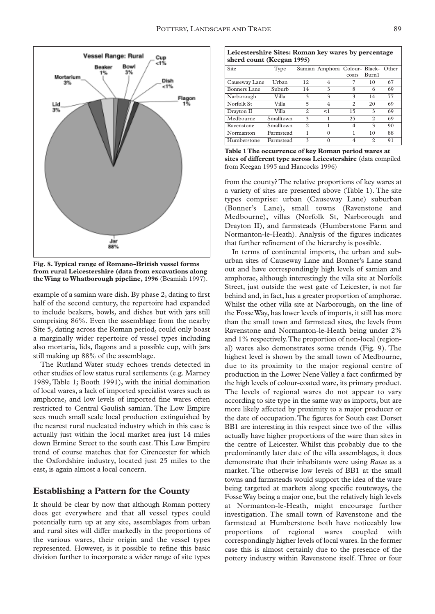

**Fig. 8.Typical range of Romano-British vessel forms from rural Leicestershire (data from excavations along the Wing to Whatborough pipeline, 1996** (Beamish 1997).

example of a samian ware dish. By phase 2, dating to first half of the second century, the repertoire had expanded to include beakers, bowls, and dishes but with jars still comprising 86%. Even the assemblage from the nearby Site 5, dating across the Roman period, could only boast a marginally wider repertoire of vessel types including also mortaria, lids, flagons and a possible cup, with jars still making up 88% of the assemblage.

The Rutland Water study echoes trends detected in other studies of low status rural settlements (e.g. Marney 1989, Table 1; Booth 1991), with the initial domination of local wares, a lack of imported specialist wares such as amphorae, and low levels of imported fine wares often restricted to Central Gaulish samian. The Low Empire sees much small scale local production extinguished by the nearest rural nucleated industry which in this case is actually just within the local market area just 14 miles down Ermine Street to the south east.This Low Empire trend of course matches that for Cirencester for which the Oxfordshire industry, located just 25 miles to the east, is again almost a local concern.

### **Establishing a Pattern for the County**

It should be clear by now that although Roman pottery does get everywhere and that all vessel types could potentially turn up at any site, assemblages from urban and rural sites will differ markedly in the proportions of the various wares, their origin and the vessel types represented. However, is it possible to refine this basic division further to incorporate a wider range of site types

| Leicestershire Sites: Roman key wares by percentage<br>sherd count (Keegan 1995) |           |                |                                     |                               |                        |    |  |  |  |
|----------------------------------------------------------------------------------|-----------|----------------|-------------------------------------|-------------------------------|------------------------|----|--|--|--|
| Site                                                                             | Type      |                | Samian Amphora Colour- Black- Other | coats                         | Burn1                  |    |  |  |  |
| Causeway Lane                                                                    | Urban     | 12             | 4                                   | 7                             | 10                     | 67 |  |  |  |
| Bonners Lane                                                                     | Suburb    | 14             | 3                                   | 8                             | 6                      | 69 |  |  |  |
| Narborough                                                                       | Villa     | 3              | 3                                   | 3                             | 14                     | 77 |  |  |  |
| Norfolk St                                                                       | Villa     | 5              | 4                                   | $\mathfrak{D}_{\mathfrak{p}}$ | 20                     | 69 |  |  |  |
| Drayton II                                                                       | Villa     | $\mathfrak{D}$ | <1                                  | 15                            | 3                      | 69 |  |  |  |
| Medbourne                                                                        | Smalltown | 3              |                                     | 25                            | $\mathcal{D}$          | 69 |  |  |  |
| Ravenstone                                                                       | Smalltown | $\mathfrak{D}$ |                                     | $\overline{4}$                | $\mathbf{\mathcal{R}}$ | 90 |  |  |  |
| Normanton                                                                        | Farmstead |                |                                     |                               | 10                     | 88 |  |  |  |

**Table 1 The occurrence of key Roman period wares at sites of different type across Leicestershire** (data compiled from Keegan 1995 and Hancocks 1996)

Humberstone Farmstead 3 0 4 2 91

from the county? The relative proportions of key wares at a variety of sites are presented above (Table 1). The site types comprise: urban (Causeway Lane) suburban (Bonner's Lane), small towns (Ravenstone and Medbourne), villas (Norfolk St, Narborough and Drayton II), and farmsteads (Humberstone Farm and Normanton-le-Heath). Analysis of the figures indicates that further refinement of the hierarchy is possible.

In terms of continental imports, the urban and suburban sites of Causeway Lane and Bonner's Lane stand out and have correspondingly high levels of samian and amphorae, although interestingly the villa site at Norfolk Street, just outside the west gate of Leicester, is not far behind and, in fact, has a greater proportion of amphorae. Whilst the other villa site at Narborough, on the line of the Fosse Way, has lower levels of imports, it still has more than the small town and farmstead sites, the levels from Ravenstone and Normanton-le-Heath being under 2% and 1% respectively.The proportion of non-local (regional) wares also demonstrates some trends (Fig. 9). The highest level is shown by the small town of Medbourne, due to its proximity to the major regional centre of production in the Lower Nene Valley a fact confirmed by the high levels of colour-coated ware, its primary product. The levels of regional wares do not appear to vary according to site type in the same way as imports, but are more likely affected by proximity to a major producer or the date of occupation.The figures for South east Dorset BB1 are interesting in this respect since two of the villas actually have higher proportions of the ware than sites in the centre of Leicester. Whilst this probably due to the predominantly later date of the villa assemblages, it does demonstrate that their inhabitants were using *Ratae* as a market. The otherwise low levels of BB1 at the small towns and farmsteads would support the idea of the ware being targeted at markets along specific routeways, the Fosse Way being a major one, but the relatively high levels at Normanton-le-Heath, might encourage further investigation. The small town of Ravenstone and the farmstead at Humberstone both have noticeably low proportions of regional wares coupled with correspondingly higher levels of local wares. In the former case this is almost certainly due to the presence of the pottery industry within Ravenstone itself. Three or four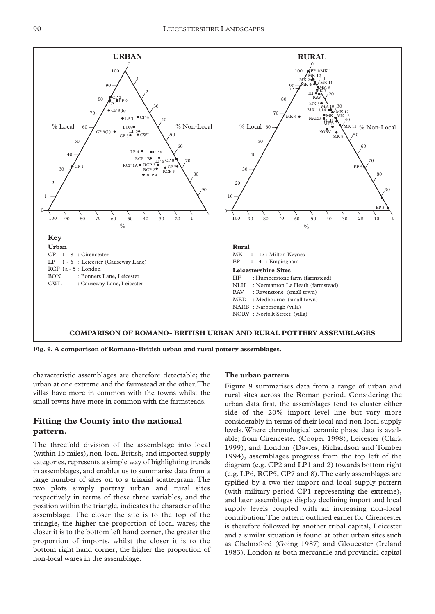

**Fig. 9. A comparison of Romano-British urban and rural pottery assemblages.**

characteristic assemblages are therefore detectable; the urban at one extreme and the farmstead at the other.The villas have more in common with the towns whilst the small towns have more in common with the farmsteads.

# **Fitting the County into the national pattern.**

The threefold division of the assemblage into local (within 15 miles), non-local British, and imported supply categories, represents a simple way of highlighting trends in assemblages, and enables us to summarise data from a large number of sites on to a triaxial scattergram. The two plots simply portray urban and rural sites respectively in terms of these three variables, and the position within the triangle, indicates the character of the assemblage. The closer the site is to the top of the triangle, the higher the proportion of local wares; the closer it is to the bottom left hand corner, the greater the proportion of imports, whilst the closer it is to the bottom right hand corner, the higher the proportion of non-local wares in the assemblage.

#### **The urban pattern**

Figure 9 summarises data from a range of urban and rural sites across the Roman period. Considering the urban data first, the assemblages tend to cluster either side of the 20% import level line but vary more considerably in terms of their local and non-local supply levels. Where chronological ceramic phase data is available; from Cirencester (Cooper 1998), Leicester (Clark 1999), and London (Davies, Richardson and Tomber 1994), assemblages progress from the top left of the diagram (e.g. CP2 and LP1 and 2) towards bottom right (e.g. LP6, RCP5, CP7 and 8).The early assemblages are typified by a two-tier import and local supply pattern (with military period CP1 representing the extreme), and later assemblages display declining import and local supply levels coupled with an increasing non-local contribution.The pattern outlined earlier for Cirencester is therefore followed by another tribal capital, Leicester and a similar situation is found at other urban sites such as Chelmsford (Going 1987) and Gloucester (Ireland 1983). London as both mercantile and provincial capital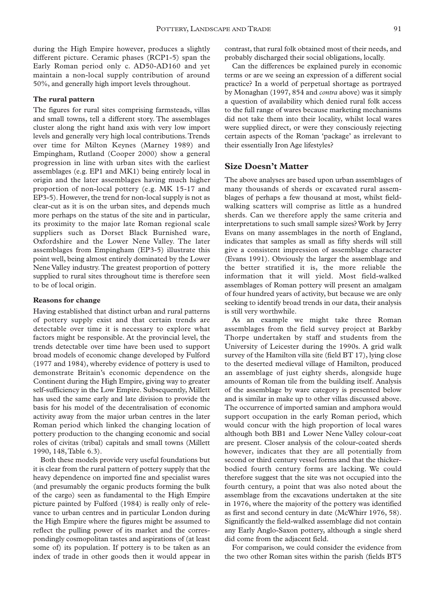during the High Empire however, produces a slightly different picture. Ceramic phases (RCP1-5) span the Early Roman period only c. AD50-AD160 and yet maintain a non-local supply contribution of around 50%, and generally high import levels throughout.

#### **The rural pattern**

The figures for rural sites comprising farmsteads, villas and small towns, tell a different story. The assemblages cluster along the right hand axis with very low import levels and generally very high local contributions.Trends over time for Milton Keynes (Marney 1989) and Empingham, Rutland (Cooper 2000) show a general progression in line with urban sites with the earliest assemblages (e.g. EP1 and MK1) being entirely local in origin and the later assemblages having much higher proportion of non-local pottery (e.g. MK 15-17 and EP3-5). However, the trend for non-local supply is not as clear-cut as it is on the urban sites, and depends much more perhaps on the status of the site and in particular, its proximity to the major late Roman regional scale suppliers such as Dorset Black Burnished ware, Oxfordshire and the Lower Nene Valley. The later assemblages from Empingham (EP3-5) illustrate this point well, being almost entirely dominated by the Lower Nene Valley industry. The greatest proportion of pottery supplied to rural sites throughout time is therefore seen to be of local origin.

### **Reasons for change**

Having established that distinct urban and rural patterns of pottery supply exist and that certain trends are detectable over time it is necessary to explore what factors might be responsible. At the provincial level, the trends detectable over time have been used to support broad models of economic change developed by Fulford (1977 and 1984), whereby evidence of pottery is used to demonstrate Britain's economic dependence on the Continent during the High Empire, giving way to greater self-sufficiency in the Low Empire. Subsequently, Millett has used the same early and late division to provide the basis for his model of the decentralisation of economic activity away from the major urban centres in the later Roman period which linked the changing location of pottery production to the changing economic and social roles of civitas (tribal) capitals and small towns (Millett 1990, 148,Table 6.3).

Both these models provide very useful foundations but it is clear from the rural pattern of pottery supply that the heavy dependence on imported fine and specialist wares (and presumably the organic products forming the bulk of the cargo) seen as fundamental to the High Empire picture painted by Fulford (1984) is really only of relevance to urban centres and in particular London during the High Empire where the figures might be assumed to reflect the pulling power of its market and the correspondingly cosmopolitan tastes and aspirations of (at least some of) its population. If pottery is to be taken as an index of trade in other goods then it would appear in contrast, that rural folk obtained most of their needs, and probably discharged their social obligations, locally.

Can the differences be explained purely in economic terms or are we seeing an expression of a different social practice? In a world of perpetual shortage as portrayed by Monaghan (1997, 854 and *contra* above) was it simply a question of availability which denied rural folk access to the full range of wares because marketing mechanisms did not take them into their locality, whilst local wares were supplied direct, or were they consciously rejecting certain aspects of the Roman 'package' as irrelevant to their essentially Iron Age lifestyles?

### **Size Doesn't Matter**

The above analyses are based upon urban assemblages of many thousands of sherds or excavated rural assemblages of perhaps a few thousand at most, whilst fieldwalking scatters will comprise as little as a hundred sherds. Can we therefore apply the same criteria and interpretations to such small sample sizes? Work by Jerry Evans on many assemblages in the north of England, indicates that samples as small as fifty sherds will still give a consistent impression of assemblage character (Evans 1991). Obviously the larger the assemblage and the better stratified it is, the more reliable the information that it will yield. Most field-walked assemblages of Roman pottery will present an amalgam of four hundred years of activity, but because we are only seeking to identify broad trends in our data, their analysis is still very worthwhile.

As an example we might take three Roman assemblages from the field survey project at Barkby Thorpe undertaken by staff and students from the University of Leicester during the 1990s. A grid walk survey of the Hamilton villa site (field BT 17), lying close to the deserted medieval village of Hamilton, produced an assemblage of just eighty sherds, alongside huge amounts of Roman tile from the building itself. Analysis of the assemblage by ware category is presented below and is similar in make up to other villas discussed above. The occurrence of imported samian and amphora would support occupation in the early Roman period, which would concur with the high proportion of local wares although both BB1 and Lower Nene Valley colour-coat are present. Closer analysis of the colour-coated sherds however, indicates that they are all potentially from second or third century vessel forms and that the thickerbodied fourth century forms are lacking. We could therefore suggest that the site was not occupied into the fourth century, a point that was also noted about the assemblage from the excavations undertaken at the site in 1976, where the majority of the pottery was identified as first and second century in date (McWhirr 1976, 58). Significantly the field-walked assemblage did not contain any Early Anglo-Saxon pottery, although a single sherd did come from the adjacent field.

For comparison, we could consider the evidence from the two other Roman sites within the parish (fields BT5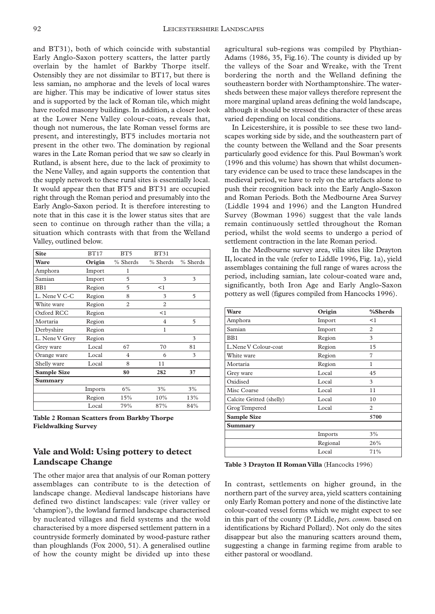and BT31), both of which coincide with substantial Early Anglo-Saxon pottery scatters, the latter partly overlain by the hamlet of Barkby Thorpe itself. Ostensibly they are not dissimilar to BT17, but there is less samian, no amphorae and the levels of local wares are higher. This may be indicative of lower status sites and is supported by the lack of Roman tile, which might have roofed masonry buildings. In addition, a closer look at the Lower Nene Valley colour-coats, reveals that, though not numerous, the late Roman vessel forms are present, and interestingly, BT5 includes mortaria not present in the other two. The domination by regional wares in the Late Roman period that we saw so clearly in Rutland, is absent here, due to the lack of proximity to the Nene Valley, and again supports the contention that the supply network to these rural sites is essentially local. It would appear then that BT5 and BT31 are occupied right through the Roman period and presumably into the Early Anglo-Saxon period. It is therefore interesting to note that in this case it is the lower status sites that are seen to continue on through rather than the villa; a situation which contrasts with that from the Welland Valley, outlined below.

| BT17    | BT <sub>5</sub> | BT31           |          |
|---------|-----------------|----------------|----------|
| Origin  | % Sherds        | % Sherds       | % Sherds |
| Import  | 1               |                |          |
| Import  | 5               | 3              | 3        |
| Region  | 5               | <1             |          |
| Region  | 8               | 3              | 5        |
| Region  | 2               | $\overline{c}$ |          |
| Region  |                 | <1             |          |
| Region  |                 | $\overline{4}$ | 5        |
| Region  |                 | 1              |          |
| Region  |                 |                | 3        |
| Local   | 67              | 70             | 81       |
| Local   | 4               | 6              | 3        |
| Local   | 8               | 11             |          |
|         | 80              | 282            | 37       |
|         |                 |                |          |
| Imports | 6%              | 3%             | 3%       |
| Region  | 15%             | 10%            | 13%      |
| Local   | 79%             | 87%            | 84%      |
|         |                 |                |          |

**Table 2 Roman Scatters from Barkby Thorpe Fieldwalking Survey**

# **Vale and Wold: Using pottery to detect Landscape Change**

The other major area that analysis of our Roman pottery assemblages can contribute to is the detection of landscape change. Medieval landscape historians have defined two distinct landscapes: vale (river valley or 'champion'), the lowland farmed landscape characterised by nucleated villages and field systems and the wold characterised by a more dispersed settlement pattern in a countryside formerly dominated by wood-pasture rather than ploughlands (Fox 2000, 51). A generalised outline of how the county might be divided up into these

agricultural sub-regions was compiled by Phythian-Adams (1986, 35, Fig.16). The county is divided up by the valleys of the Soar and Wreake, with the Trent bordering the north and the Welland defining the southeastern border with Northamptonshire.The watersheds between these major valleys therefore represent the more marginal upland areas defining the wold landscape, although it should be stressed the character of these areas varied depending on local conditions.

In Leicestershire, it is possible to see these two landscapes working side by side, and the southeastern part of the county between the Welland and the Soar presents particularly good evidence for this. Paul Bowman's work (1996 and this volume) has shown that whilst documentary evidence can be used to trace these landscapes in the medieval period, we have to rely on the artefacts alone to push their recognition back into the Early Anglo-Saxon and Roman Periods. Both the Medbourne Area Survey (Liddle 1994 and 1996) and the Langton Hundred Survey (Bowman 1996) suggest that the vale lands remain continuously settled throughout the Roman period, whilst the wold seems to undergo a period of settlement contraction in the late Roman period.

In the Medbourne survey area, villa sites like Drayton II, located in the vale (refer to Liddle 1996, Fig. 1a), yield assemblages containing the full range of wares across the period, including samian, late colour-coated ware and, significantly, both Iron Age and Early Anglo-Saxon pottery as well (figures compiled from Hancocks 1996).

| <b>Ware</b>              | Origin   | %Sherds |
|--------------------------|----------|---------|
| Amphora                  | Import   | $<$ 1   |
| Samian                   | Import   | 2       |
| BB1                      | Region   | 3       |
| L.Nene V Colour-coat     | Region   | 15      |
| White ware               | Region   | 7       |
| Mortaria                 | Region   | 1       |
| Grey ware                | Local    | 45      |
| Oxidised                 | Local    | 3       |
| Misc Coarse              | Local    | 11      |
| Calcite Gritted (shelly) | Local    | 10      |
| Grog Tempered            | Local    | 2       |
| <b>Sample Size</b>       |          | 5700    |
| Summary                  |          |         |
|                          | Imports  | 3%      |
|                          | Regional | 26%     |
|                          | Local    | 71%     |

**Table 3 Drayton II Roman Villa** (Hancocks 1996)

In contrast, settlements on higher ground, in the northern part of the survey area, yield scatters containing only Early Roman pottery and none of the distinctive late colour-coated vessel forms which we might expect to see in this part of the county (P. Liddle, *pers. comm.* based on identifications by Richard Pollard). Not only do the sites disappear but also the manuring scatters around them, suggesting a change in farming regime from arable to either pastoral or woodland.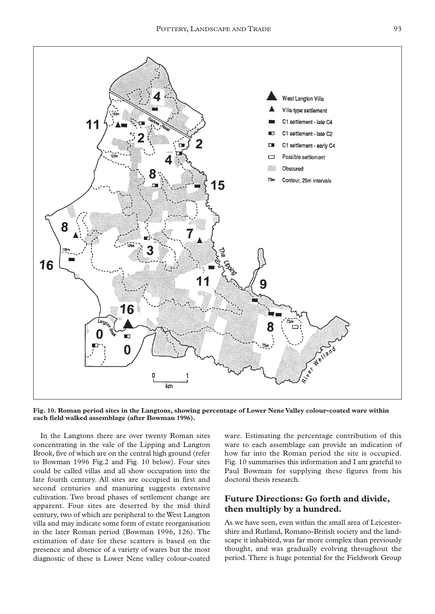

**Fig. 10. Roman period sites in the Langtons, showing percentage of Lower Nene Valley colour-coated ware within each field walked assemblage (after Bowman 1996).**

In the Langtons there are over twenty Roman sites concentrating in the vale of the Lipping and Langton Brook, five of which are on the central high ground (refer to Bowman 1996 Fig.2 and Fig. 10 below). Four sites could be called villas and all show occupation into the late fourth century. All sites are occupied in first and second centuries and manuring suggests extensive cultivation. Two broad phases of settlement change are apparent. Four sites are deserted by the mid third century, two of which are peripheral to the West Langton villa and may indicate some form of estate reorganisation in the later Roman period (Bowman 1996, 126). The estimation of date for these scatters is based on the presence and absence of a variety of wares but the most diagnostic of these is Lower Nene valley colour-coated

ware. Estimating the percentage contribution of this ware to each assemblage can provide an indication of how far into the Roman period the site is occupied. Fig. 10 summarises this information and I am grateful to Paul Bowman for supplying these figures from his doctoral thesis research.

# **Future Directions: Go forth and divide, then multiply by a hundred.**

As we have seen, even within the small area of Leicestershire and Rutland, Romano-British society and the landscape it inhabited, was far more complex than previously thought, and was gradually evolving throughout the period. There is huge potential for the Fieldwork Group